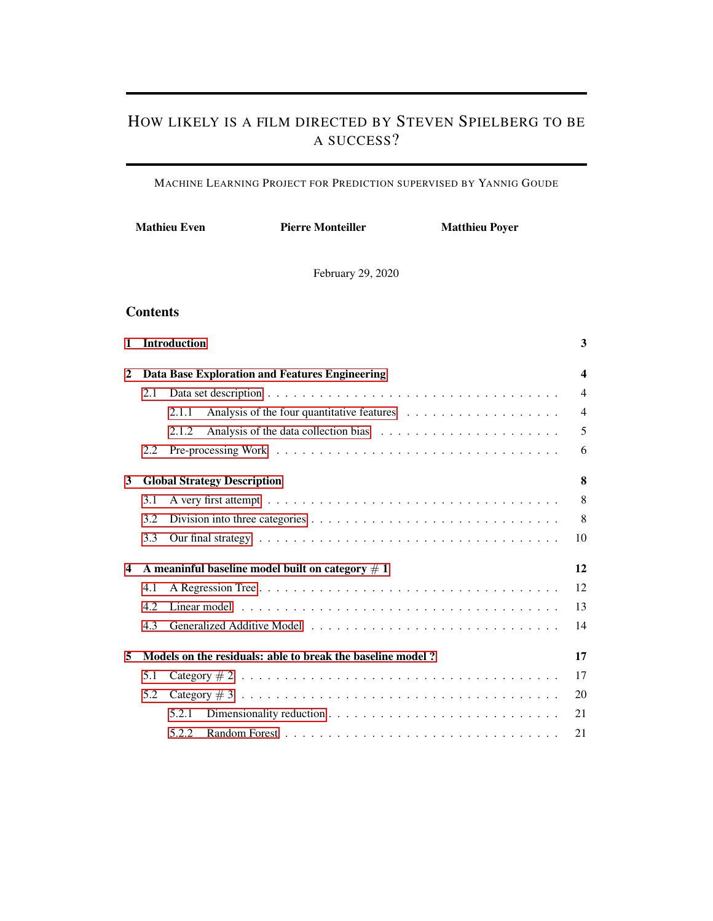# HOW LIKELY IS A FILM DIRECTED BY STEVEN SPIELBERG TO BE A SUCCESS?

MACHINE LEARNING PROJECT FOR PREDICTION SUPERVISED BY YANNIG GOUDE

|                |                 | <b>Mathieu Even</b><br><b>Pierre Monteiller</b><br><b>Matthieu Poyer</b> |  |
|----------------|-----------------|--------------------------------------------------------------------------|--|
|                |                 | February 29, 2020                                                        |  |
|                | <b>Contents</b> |                                                                          |  |
| 1              |                 | <b>Introduction</b><br>3                                                 |  |
| $\overline{c}$ |                 | Data Base Exploration and Features Engineering<br>4                      |  |
|                | 2.1             | $\overline{4}$                                                           |  |
|                |                 | $\overline{4}$<br>2.1.1                                                  |  |
|                |                 | 5<br>2.1.2                                                               |  |
|                | 2.2             | 6                                                                        |  |
| 3              |                 | 8<br><b>Global Strategy Description</b>                                  |  |
|                | 3.1             | 8                                                                        |  |
|                | 3.2             | 8                                                                        |  |
|                | 3.3             | 10                                                                       |  |
| 4              |                 | A meaninful baseline model built on category $# 1$<br>12                 |  |
|                | 4.1             | 12                                                                       |  |
|                | 4.2             | 13                                                                       |  |
|                | 4.3             | 14                                                                       |  |
| 5              |                 | Models on the residuals: able to break the baseline model?<br>17         |  |
|                | 5.1             | 17                                                                       |  |
|                | 5.2             | 20                                                                       |  |
|                |                 | 5.2.1<br>21                                                              |  |
|                |                 | 21<br>5.2.2                                                              |  |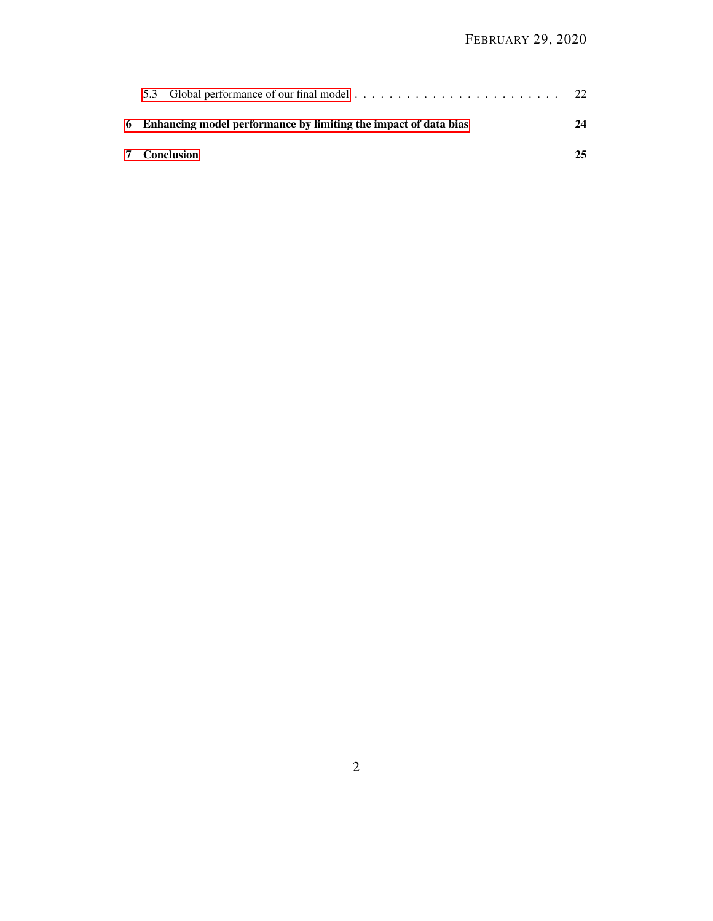| 6 Enhancing model performance by limiting the impact of data bias | 24 |
|-------------------------------------------------------------------|----|
| <b>7</b> Conclusion                                               | 25 |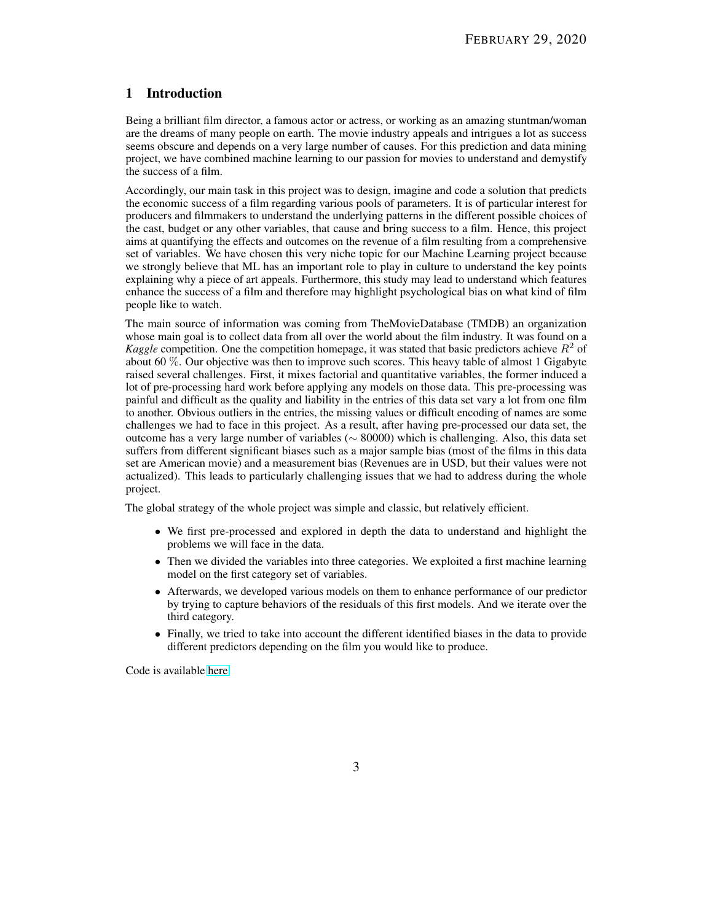# <span id="page-2-0"></span>1 Introduction

Being a brilliant film director, a famous actor or actress, or working as an amazing stuntman/woman are the dreams of many people on earth. The movie industry appeals and intrigues a lot as success seems obscure and depends on a very large number of causes. For this prediction and data mining project, we have combined machine learning to our passion for movies to understand and demystify the success of a film.

Accordingly, our main task in this project was to design, imagine and code a solution that predicts the economic success of a film regarding various pools of parameters. It is of particular interest for producers and filmmakers to understand the underlying patterns in the different possible choices of the cast, budget or any other variables, that cause and bring success to a film. Hence, this project aims at quantifying the effects and outcomes on the revenue of a film resulting from a comprehensive set of variables. We have chosen this very niche topic for our Machine Learning project because we strongly believe that ML has an important role to play in culture to understand the key points explaining why a piece of art appeals. Furthermore, this study may lead to understand which features enhance the success of a film and therefore may highlight psychological bias on what kind of film people like to watch.

The main source of information was coming from TheMovieDatabase (TMDB) an organization whose main goal is to collect data from all over the world about the film industry. It was found on a *Kaggle* competition. One the competition homepage, it was stated that basic predictors achieve  $R<sup>2</sup>$  of about 60 %. Our objective was then to improve such scores. This heavy table of almost 1 Gigabyte raised several challenges. First, it mixes factorial and quantitative variables, the former induced a lot of pre-processing hard work before applying any models on those data. This pre-processing was painful and difficult as the quality and liability in the entries of this data set vary a lot from one film to another. Obvious outliers in the entries, the missing values or difficult encoding of names are some challenges we had to face in this project. As a result, after having pre-processed our data set, the outcome has a very large number of variables (∼ 80000) which is challenging. Also, this data set suffers from different significant biases such as a major sample bias (most of the films in this data set are American movie) and a measurement bias (Revenues are in USD, but their values were not actualized). This leads to particularly challenging issues that we had to address during the whole project.

The global strategy of the whole project was simple and classic, but relatively efficient.

- We first pre-processed and explored in depth the data to understand and highlight the problems we will face in the data.
- Then we divided the variables into three categories. We exploited a first machine learning model on the first category set of variables.
- Afterwards, we developed various models on them to enhance performance of our predictor by trying to capture behaviors of the residuals of this first models. And we iterate over the third category.
- Finally, we tried to take into account the different identified biases in the data to provide different predictors depending on the film you would like to produce.

Code is available [here.](https://github.com/pierremon/cinema-prediction)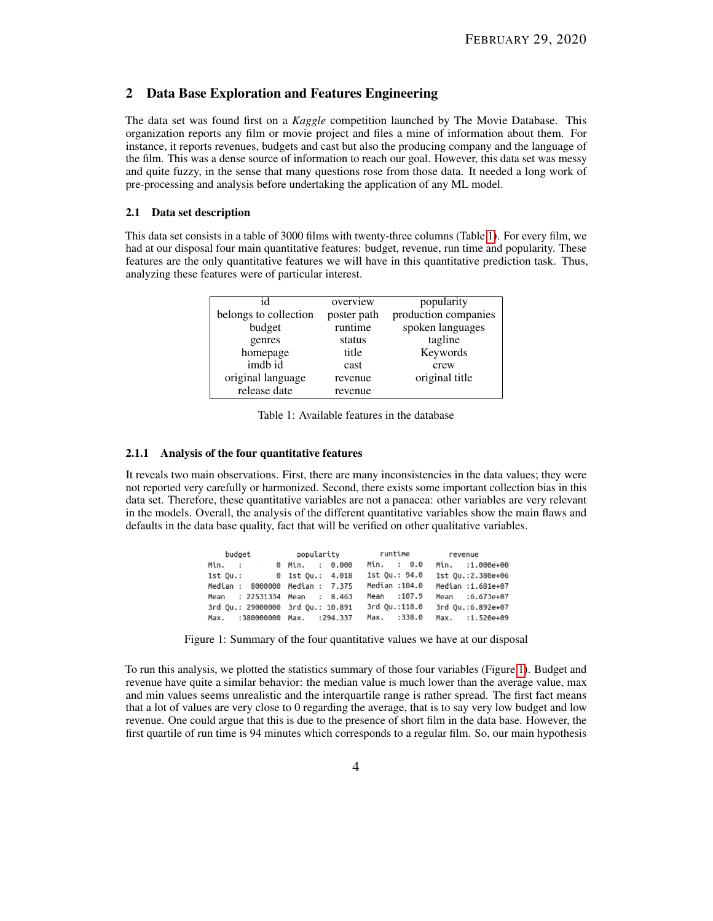## <span id="page-3-0"></span>2 Data Base Exploration and Features Engineering

The data set was found first on a *Kaggle* competition launched by The Movie Database. This organization reports any film or movie project and files a mine of information about them. For instance, it reports revenues, budgets and cast but also the producing company and the language of the film. This was a dense source of information to reach our goal. However, this data set was messy and quite fuzzy, in the sense that many questions rose from those data. It needed a long work of pre-processing and analysis before undertaking the application of any ML model.

## <span id="page-3-1"></span>2.1 Data set description

<span id="page-3-3"></span>This data set consists in a table of 3000 films with twenty-three columns (Table [1\)](#page-3-3). For every film, we had at our disposal four main quantitative features: budget, revenue, run time and popularity. These features are the only quantitative features we will have in this quantitative prediction task. Thus, analyzing these features were of particular interest.

| id                    | overview    | popularity           |
|-----------------------|-------------|----------------------|
| belongs to collection | poster path | production companies |
| budget                | runtime     | spoken languages     |
| genres                | status      | tagline              |
| homepage              | title       | Keywords             |
| imdb id               | cast        | crew                 |
| original language     | revenue     | original title       |
| release date          | revenue     |                      |

Table 1: Available features in the database

### <span id="page-3-2"></span>2.1.1 Analysis of the four quantitative features

<span id="page-3-4"></span>It reveals two main observations. First, there are many inconsistencies in the data values; they were not reported very carefully or harmonized. Second, there exists some important collection bias in this data set. Therefore, these quantitative variables are not a panacea: other variables are very relevant in the models. Overall, the analysis of the different quantitative variables show the main flaws and defaults in the data base quality, fact that will be verified on other qualitative variables.

| budget                            |                |               | revenue           |  |
|-----------------------------------|----------------|---------------|-------------------|--|
| Min. :                            | 0 Min. : 0.000 | Min. : 0.0    | Min. :1.000e+00   |  |
| 1st Ou.: 0 1st Ou.: 4.018         |                | 1st Ou.: 94.0 | 1st Qu.:2.380e+06 |  |
| Median : 8000000 Median : 7.375   |                | Median :104.0 | Median :1.681e+07 |  |
| Mean: 22531334 Mean: 8.463        |                | Mean : 107.9  | Mean :6.673e+07   |  |
| 3rd Ou.: 29000000 3rd Ou.: 10.891 |                | 3rd Qu.:118.0 | 3rd 0u.:6.892e+07 |  |
| Max. :380000000 Max. :294.337     |                | Max. :338.0   | Max. :1.520e+09   |  |

Figure 1: Summary of the four quantitative values we have at our disposal

To run this analysis, we plotted the statistics summary of those four variables (Figure [1\)](#page-3-4). Budget and revenue have quite a similar behavior: the median value is much lower than the average value, max and min values seems unrealistic and the interquartile range is rather spread. The first fact means that a lot of values are very close to 0 regarding the average, that is to say very low budget and low revenue. One could argue that this is due to the presence of short film in the data base. However, the first quartile of run time is 94 minutes which corresponds to a regular film. So, our main hypothesis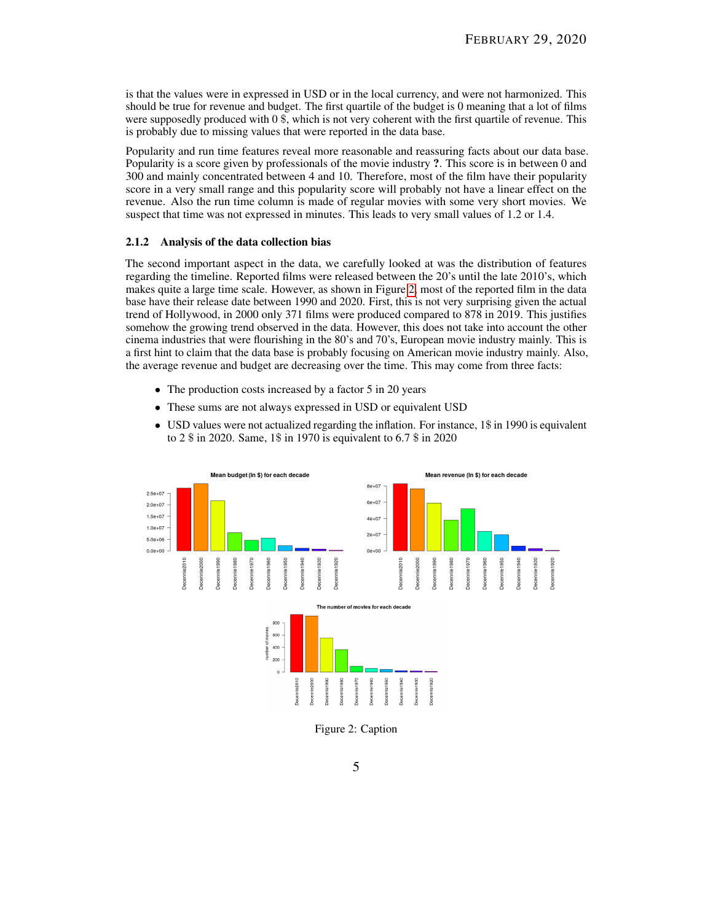is that the values were in expressed in USD or in the local currency, and were not harmonized. This should be true for revenue and budget. The first quartile of the budget is 0 meaning that a lot of films were supposedly produced with 0 \$, which is not very coherent with the first quartile of revenue. This is probably due to missing values that were reported in the data base.

Popularity and run time features reveal more reasonable and reassuring facts about our data base. Popularity is a score given by professionals of the movie industry ?. This score is in between 0 and 300 and mainly concentrated between 4 and 10. Therefore, most of the film have their popularity score in a very small range and this popularity score will probably not have a linear effect on the revenue. Also the run time column is made of regular movies with some very short movies. We suspect that time was not expressed in minutes. This leads to very small values of 1.2 or 1.4.

#### <span id="page-4-0"></span>2.1.2 Analysis of the data collection bias

The second important aspect in the data, we carefully looked at was the distribution of features regarding the timeline. Reported films were released between the 20's until the late 2010's, which makes quite a large time scale. However, as shown in Figure [2,](#page-4-1) most of the reported film in the data base have their release date between 1990 and 2020. First, this is not very surprising given the actual trend of Hollywood, in 2000 only 371 films were produced compared to 878 in 2019. This justifies somehow the growing trend observed in the data. However, this does not take into account the other cinema industries that were flourishing in the 80's and 70's, European movie industry mainly. This is a first hint to claim that the data base is probably focusing on American movie industry mainly. Also, the average revenue and budget are decreasing over the time. This may come from three facts:

- The production costs increased by a factor 5 in 20 years
- These sums are not always expressed in USD or equivalent USD
- USD values were not actualized regarding the inflation. For instance, 1\$ in 1990 is equivalent to 2 \$ in 2020. Same, 1\$ in 1970 is equivalent to 6.7 \$ in 2020

<span id="page-4-1"></span>

Figure 2: Caption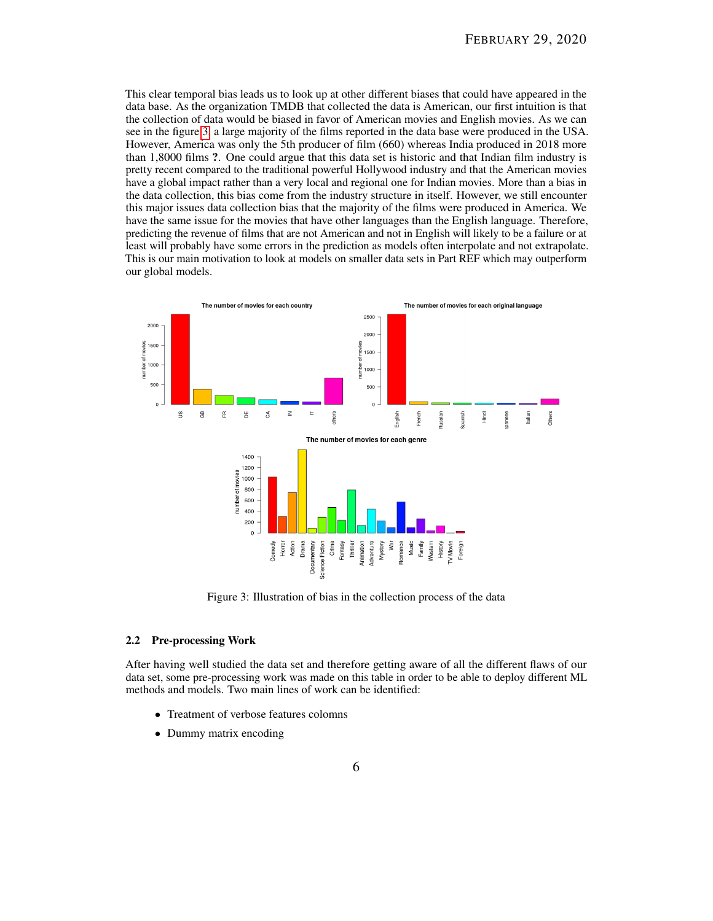This clear temporal bias leads us to look up at other different biases that could have appeared in the data base. As the organization TMDB that collected the data is American, our first intuition is that the collection of data would be biased in favor of American movies and English movies. As we can see in the figure [3,](#page-5-1) a large majority of the films reported in the data base were produced in the USA. However, America was only the 5th producer of film (660) whereas India produced in 2018 more than 1,8000 films ?. One could argue that this data set is historic and that Indian film industry is pretty recent compared to the traditional powerful Hollywood industry and that the American movies have a global impact rather than a very local and regional one for Indian movies. More than a bias in the data collection, this bias come from the industry structure in itself. However, we still encounter this major issues data collection bias that the majority of the films were produced in America. We have the same issue for the movies that have other languages than the English language. Therefore, predicting the revenue of films that are not American and not in English will likely to be a failure or at least will probably have some errors in the prediction as models often interpolate and not extrapolate. This is our main motivation to look at models on smaller data sets in Part REF which may outperform our global models.

<span id="page-5-1"></span>

Figure 3: Illustration of bias in the collection process of the data

## <span id="page-5-0"></span>2.2 Pre-processing Work

After having well studied the data set and therefore getting aware of all the different flaws of our data set, some pre-processing work was made on this table in order to be able to deploy different ML methods and models. Two main lines of work can be identified:

- Treatment of verbose features colomns
- Dummy matrix encoding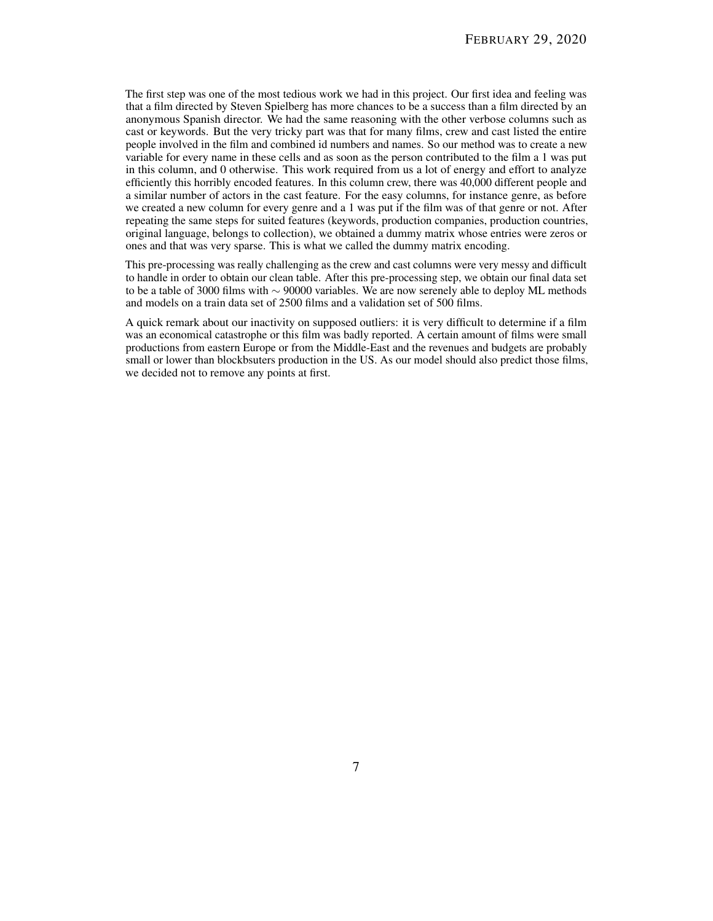The first step was one of the most tedious work we had in this project. Our first idea and feeling was that a film directed by Steven Spielberg has more chances to be a success than a film directed by an anonymous Spanish director. We had the same reasoning with the other verbose columns such as cast or keywords. But the very tricky part was that for many films, crew and cast listed the entire people involved in the film and combined id numbers and names. So our method was to create a new variable for every name in these cells and as soon as the person contributed to the film a 1 was put in this column, and 0 otherwise. This work required from us a lot of energy and effort to analyze efficiently this horribly encoded features. In this column crew, there was 40,000 different people and a similar number of actors in the cast feature. For the easy columns, for instance genre, as before we created a new column for every genre and a 1 was put if the film was of that genre or not. After repeating the same steps for suited features (keywords, production companies, production countries, original language, belongs to collection), we obtained a dummy matrix whose entries were zeros or ones and that was very sparse. This is what we called the dummy matrix encoding.

This pre-processing was really challenging as the crew and cast columns were very messy and difficult to handle in order to obtain our clean table. After this pre-processing step, we obtain our final data set to be a table of 3000 films with ∼ 90000 variables. We are now serenely able to deploy ML methods and models on a train data set of 2500 films and a validation set of 500 films.

A quick remark about our inactivity on supposed outliers: it is very difficult to determine if a film was an economical catastrophe or this film was badly reported. A certain amount of films were small productions from eastern Europe or from the Middle-East and the revenues and budgets are probably small or lower than blockbsuters production in the US. As our model should also predict those films, we decided not to remove any points at first.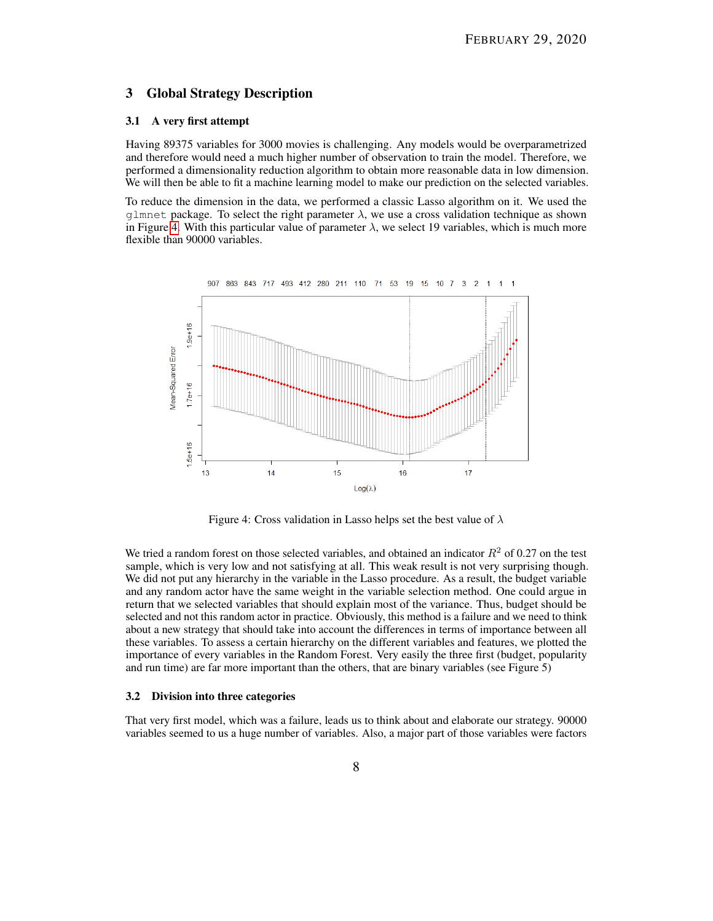## <span id="page-7-0"></span>3 Global Strategy Description

## <span id="page-7-1"></span>3.1 A very first attempt

Having 89375 variables for 3000 movies is challenging. Any models would be overparametrized and therefore would need a much higher number of observation to train the model. Therefore, we performed a dimensionality reduction algorithm to obtain more reasonable data in low dimension. We will then be able to fit a machine learning model to make our prediction on the selected variables.

To reduce the dimension in the data, we performed a classic Lasso algorithm on it. We used the glmnet package. To select the right parameter  $\lambda$ , we use a cross validation technique as shown in Figure [4.](#page-7-3) With this particular value of parameter  $\lambda$ , we select 19 variables, which is much more flexible than 90000 variables.

<span id="page-7-3"></span>

Figure 4: Cross validation in Lasso helps set the best value of  $\lambda$ 

We tried a random forest on those selected variables, and obtained an indicator  $R<sup>2</sup>$  of 0.27 on the test sample, which is very low and not satisfying at all. This weak result is not very surprising though. We did not put any hierarchy in the variable in the Lasso procedure. As a result, the budget variable and any random actor have the same weight in the variable selection method. One could argue in return that we selected variables that should explain most of the variance. Thus, budget should be selected and not this random actor in practice. Obviously, this method is a failure and we need to think about a new strategy that should take into account the differences in terms of importance between all these variables. To assess a certain hierarchy on the different variables and features, we plotted the importance of every variables in the Random Forest. Very easily the three first (budget, popularity and run time) are far more important than the others, that are binary variables (see Figure 5)

#### <span id="page-7-2"></span>3.2 Division into three categories

That very first model, which was a failure, leads us to think about and elaborate our strategy. 90000 variables seemed to us a huge number of variables. Also, a major part of those variables were factors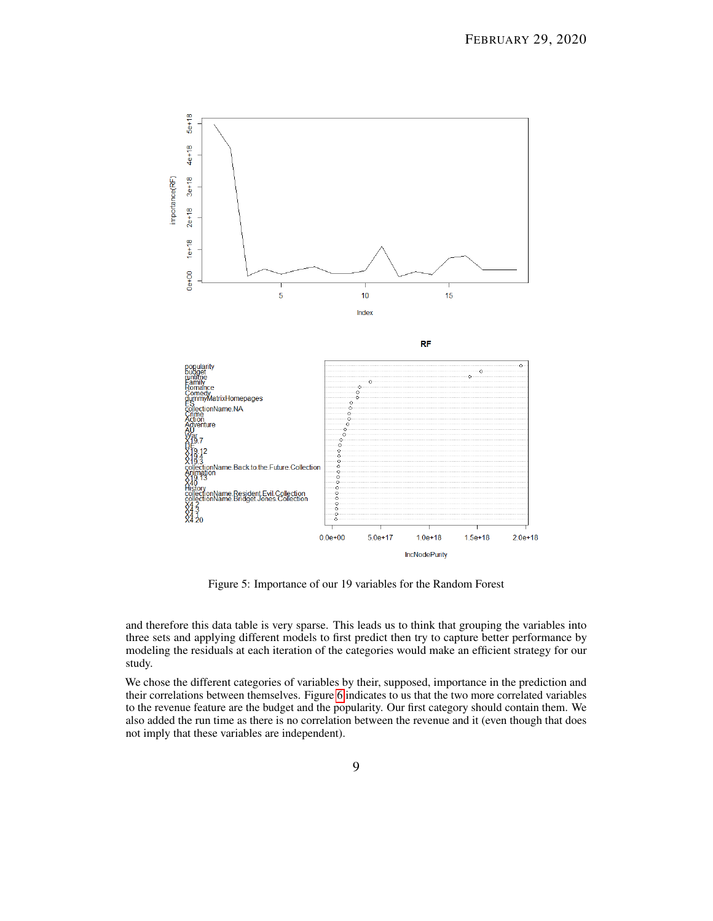

Figure 5: Importance of our 19 variables for the Random Forest

and therefore this data table is very sparse. This leads us to think that grouping the variables into three sets and applying different models to first predict then try to capture better performance by modeling the residuals at each iteration of the categories would make an efficient strategy for our study.

We chose the different categories of variables by their, supposed, importance in the prediction and their correlations between themselves. Figure [6](#page-9-1) indicates to us that the two more correlated variables to the revenue feature are the budget and the popularity. Our first category should contain them. We also added the run time as there is no correlation between the revenue and it (even though that does not imply that these variables are independent).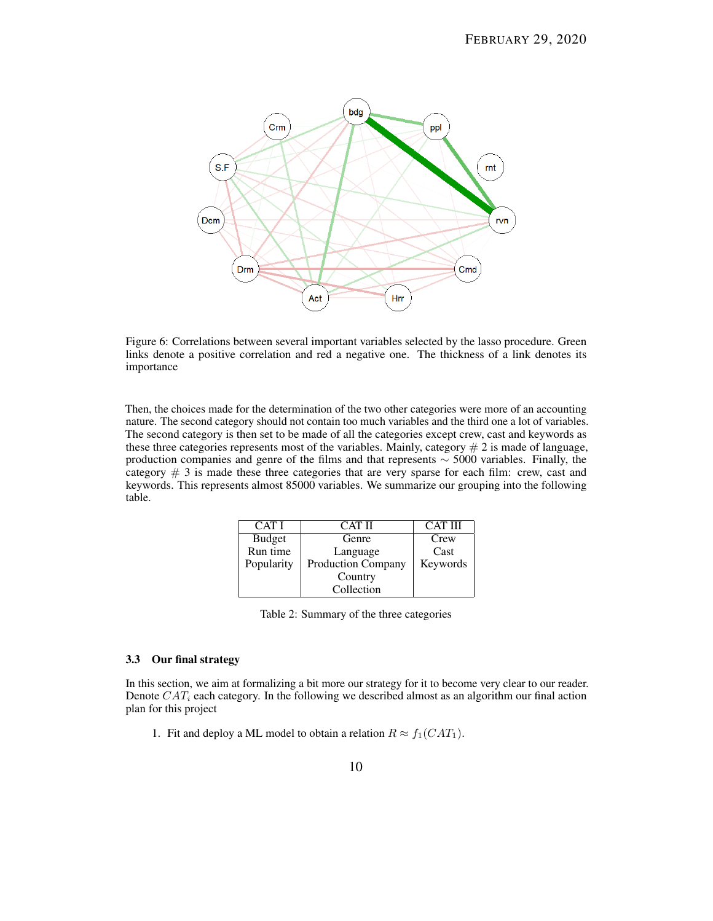<span id="page-9-1"></span>

Figure 6: Correlations between several important variables selected by the lasso procedure. Green links denote a positive correlation and red a negative one. The thickness of a link denotes its importance

Then, the choices made for the determination of the two other categories were more of an accounting nature. The second category should not contain too much variables and the third one a lot of variables. The second category is then set to be made of all the categories except crew, cast and keywords as these three categories represents most of the variables. Mainly, category  $# 2$  is made of language, production companies and genre of the films and that represents  $\sim$  5000 variables. Finally, the category  $\#$  3 is made these three categories that are very sparse for each film: crew, cast and keywords. This represents almost 85000 variables. We summarize our grouping into the following table.

| CAT I         | <b>CAT II</b>             | <b>CAT III</b> |
|---------------|---------------------------|----------------|
| <b>Budget</b> | Genre                     | Crew           |
| Run time      | Language                  | Cast           |
| Popularity    | <b>Production Company</b> | Keywords       |
|               | Country                   |                |
|               | Collection                |                |

Table 2: Summary of the three categories

## <span id="page-9-0"></span>3.3 Our final strategy

In this section, we aim at formalizing a bit more our strategy for it to become very clear to our reader. Denote  $CAT_i$  each category. In the following we described almost as an algorithm our final action plan for this project

1. Fit and deploy a ML model to obtain a relation  $R \approx f_1(CAT_1)$ .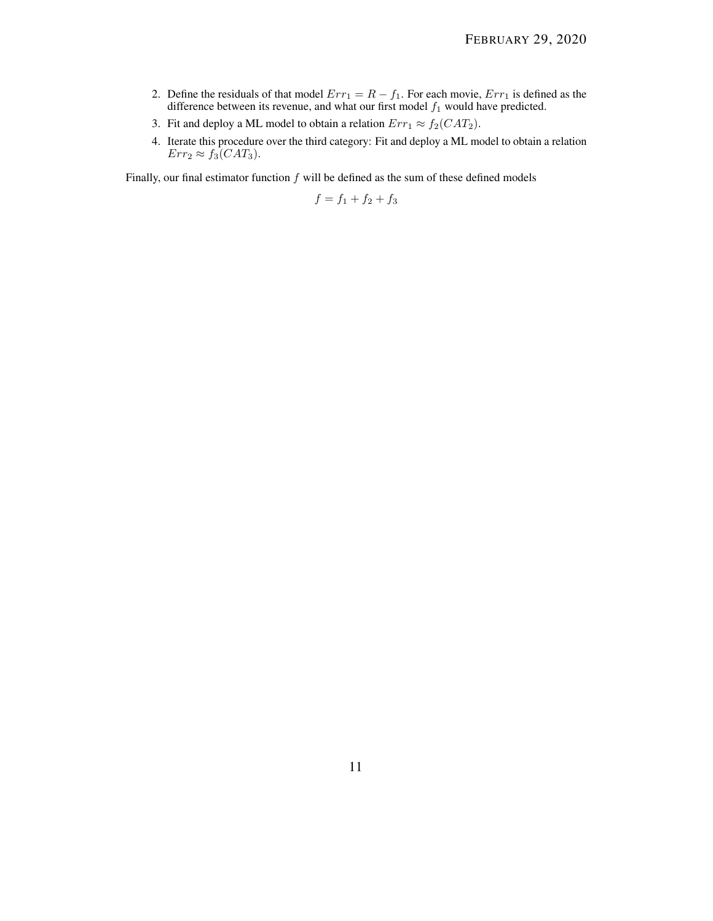- 2. Define the residuals of that model  $Err_1 = R f_1$ . For each movie,  $Err_1$  is defined as the difference between its revenue, and what our first model  $f_1$  would have predicted.
- 3. Fit and deploy a ML model to obtain a relation  $Err_1 \approx f_2(CAT_2)$ .
- 4. Iterate this procedure over the third category: Fit and deploy a ML model to obtain a relation  $Err_2 \approx f_3(CAT_3).$

Finally, our final estimator function  $f$  will be defined as the sum of these defined models

$$
f = f_1 + f_2 + f_3
$$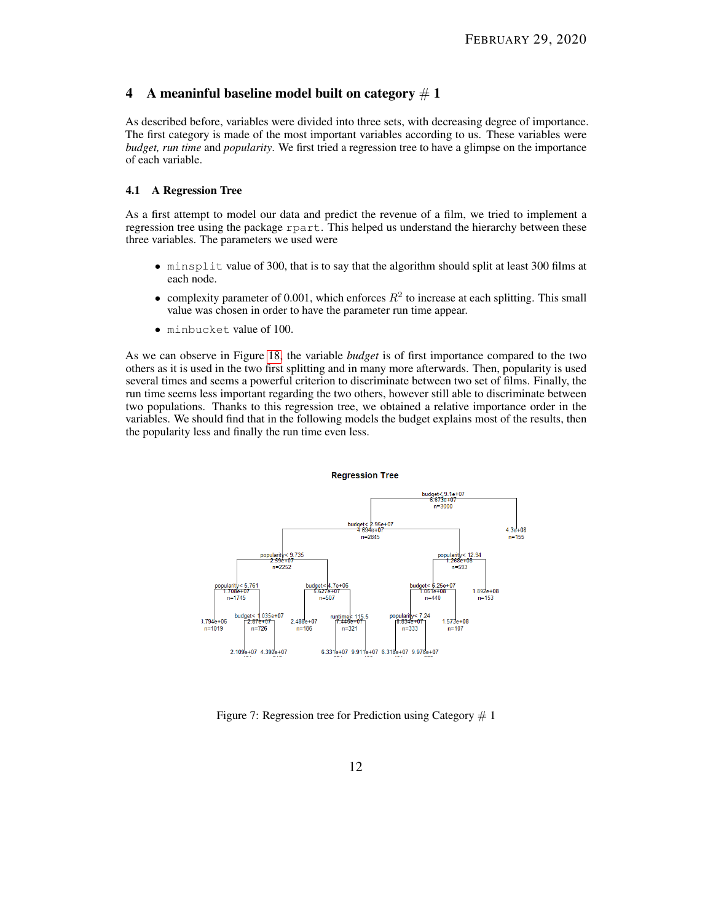## <span id="page-11-0"></span>4 A meaninful baseline model built on category  $# 1$

As described before, variables were divided into three sets, with decreasing degree of importance. The first category is made of the most important variables according to us. These variables were *budget, run time* and *popularity*. We first tried a regression tree to have a glimpse on the importance of each variable.

## <span id="page-11-1"></span>4.1 A Regression Tree

As a first attempt to model our data and predict the revenue of a film, we tried to implement a regression tree using the package rpart. This helped us understand the hierarchy between these three variables. The parameters we used were

- minsplit value of 300, that is to say that the algorithm should split at least 300 films at each node.
- complexity parameter of 0.001, which enforces  $R^2$  to increase at each splitting. This small value was chosen in order to have the parameter run time appear.
- minbucket value of 100.

As we can observe in Figure [18,](#page-22-0) the variable *budget* is of first importance compared to the two others as it is used in the two first splitting and in many more afterwards. Then, popularity is used several times and seems a powerful criterion to discriminate between two set of films. Finally, the run time seems less important regarding the two others, however still able to discriminate between two populations. Thanks to this regression tree, we obtained a relative importance order in the variables. We should find that in the following models the budget explains most of the results, then the popularity less and finally the run time even less.



Figure 7: Regression tree for Prediction using Category  $# 1$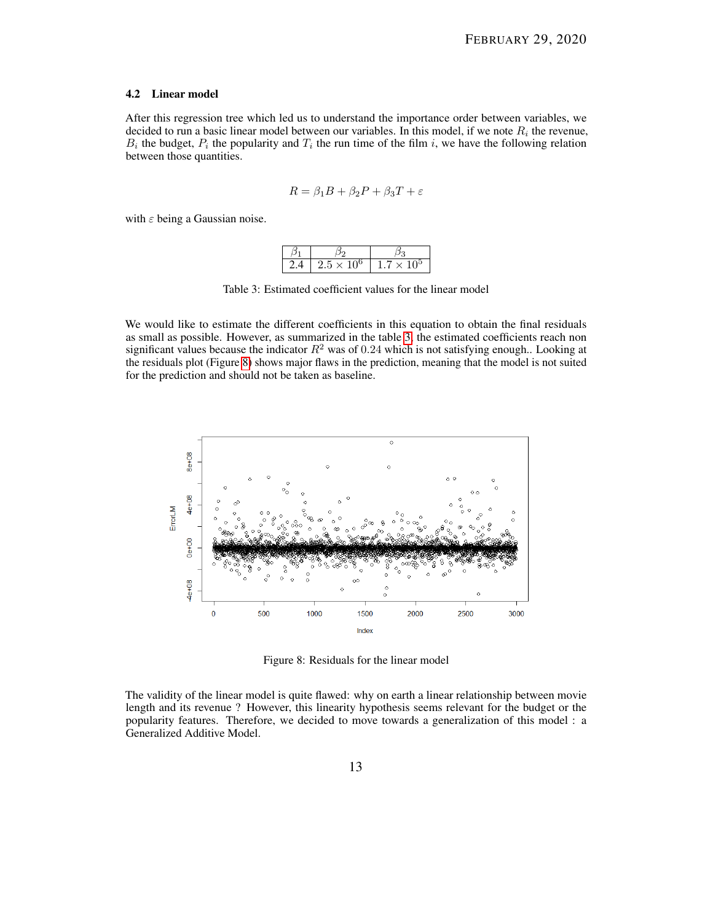#### <span id="page-12-0"></span>4.2 Linear model

After this regression tree which led us to understand the importance order between variables, we decided to run a basic linear model between our variables. In this model, if we note  $R_i$  the revenue,  $B_i$  the budget,  $P_i$  the popularity and  $T_i$  the run time of the film i, we have the following relation between those quantities.

$$
R = \beta_1 B + \beta_2 P + \beta_3 T + \varepsilon
$$

<span id="page-12-1"></span>with  $\varepsilon$  being a Gaussian noise.

| 24 | $2.5 \times 10^6$ | $1.7\times10^{\rm o}$ |  |
|----|-------------------|-----------------------|--|

Table 3: Estimated coefficient values for the linear model

We would like to estimate the different coefficients in this equation to obtain the final residuals as small as possible. However, as summarized in the table [3,](#page-12-1) the estimated coefficients reach non significant values because the indicator  $R^2$  was of 0.24 which is not satisfying enough.. Looking at the residuals plot (Figure [8\)](#page-12-2) shows major flaws in the prediction, meaning that the model is not suited for the prediction and should not be taken as baseline.

<span id="page-12-2"></span>

Figure 8: Residuals for the linear model

The validity of the linear model is quite flawed: why on earth a linear relationship between movie length and its revenue ? However, this linearity hypothesis seems relevant for the budget or the popularity features. Therefore, we decided to move towards a generalization of this model : a Generalized Additive Model.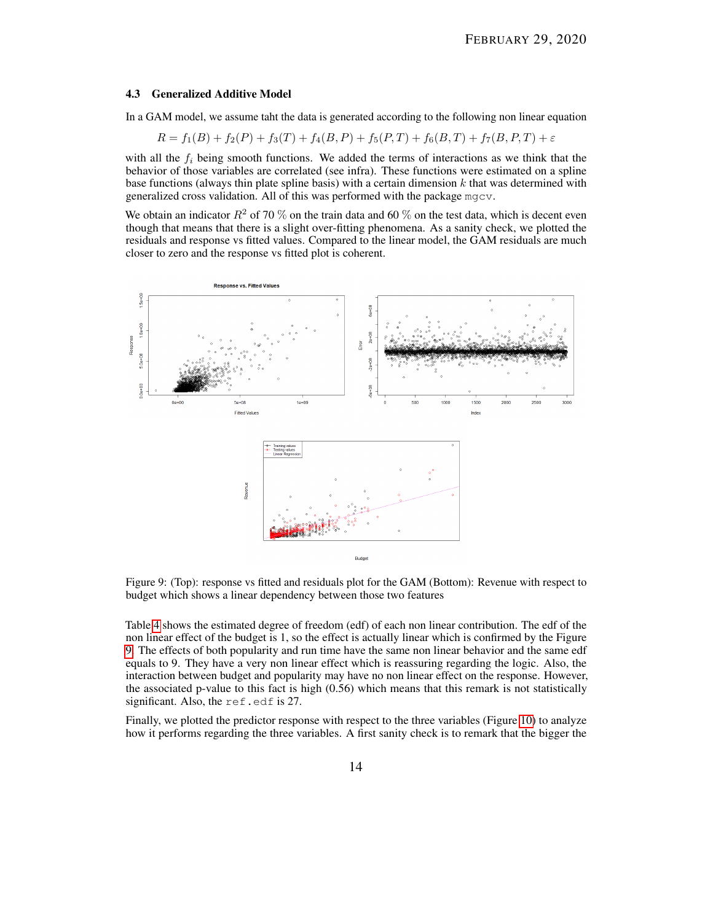#### <span id="page-13-0"></span>4.3 Generalized Additive Model

In a GAM model, we assume taht the data is generated according to the following non linear equation

$$
R = f_1(B) + f_2(P) + f_3(T) + f_4(B, P) + f_5(P, T) + f_6(B, T) + f_7(B, P, T) + \varepsilon
$$

with all the  $f_i$  being smooth functions. We added the terms of interactions as we think that the behavior of those variables are correlated (see infra). These functions were estimated on a spline base functions (always thin plate spline basis) with a certain dimension  $k$  that was determined with generalized cross validation. All of this was performed with the package mgcv.

We obtain an indicator  $R^2$  of 70 % on the train data and 60 % on the test data, which is decent even though that means that there is a slight over-fitting phenomena. As a sanity check, we plotted the residuals and response vs fitted values. Compared to the linear model, the GAM residuals are much closer to zero and the response vs fitted plot is coherent.

<span id="page-13-1"></span>

Figure 9: (Top): response vs fitted and residuals plot for the GAM (Bottom): Revenue with respect to budget which shows a linear dependency between those two features

Table [4](#page-14-0) shows the estimated degree of freedom (edf) of each non linear contribution. The edf of the non linear effect of the budget is 1, so the effect is actually linear which is confirmed by the Figure [9.](#page-13-1) The effects of both popularity and run time have the same non linear behavior and the same edf equals to 9. They have a very non linear effect which is reassuring regarding the logic. Also, the interaction between budget and popularity may have no non linear effect on the response. However, the associated p-value to this fact is high  $(0.56)$  which means that this remark is not statistically significant. Also, the ref.edf is 27.

Finally, we plotted the predictor response with respect to the three variables (Figure [10\)](#page-15-0) to analyze how it performs regarding the three variables. A first sanity check is to remark that the bigger the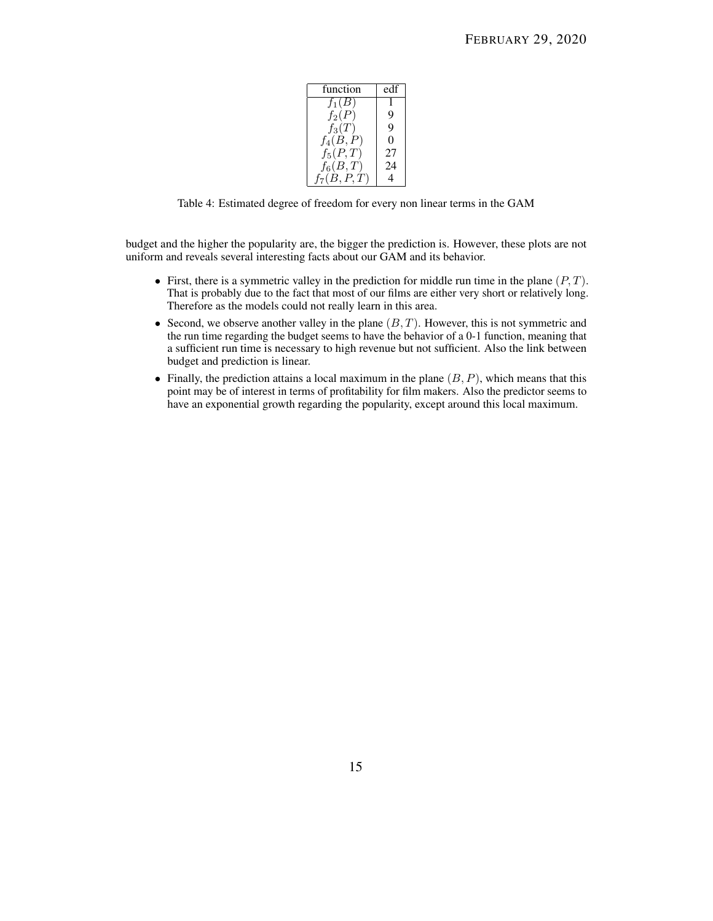| function       | edf |
|----------------|-----|
| $f_1(B)$       |     |
| $f_2(P)$       | 9   |
| $f_3(T)$       | 9   |
| $f_4(B,P)$     | 0   |
| $f_5(P,T)$     | 27  |
| $f_6(B,T)$     | 24  |
| $f_7(B, P, T)$ |     |

<span id="page-14-0"></span>Table 4: Estimated degree of freedom for every non linear terms in the GAM

budget and the higher the popularity are, the bigger the prediction is. However, these plots are not uniform and reveals several interesting facts about our GAM and its behavior.

- First, there is a symmetric valley in the prediction for middle run time in the plane  $(P, T)$ . That is probably due to the fact that most of our films are either very short or relatively long. Therefore as the models could not really learn in this area.
- Second, we observe another valley in the plane  $(B, T)$ . However, this is not symmetric and the run time regarding the budget seems to have the behavior of a 0-1 function, meaning that a sufficient run time is necessary to high revenue but not sufficient. Also the link between budget and prediction is linear.
- Finally, the prediction attains a local maximum in the plane  $(B, P)$ , which means that this point may be of interest in terms of profitability for film makers. Also the predictor seems to have an exponential growth regarding the popularity, except around this local maximum.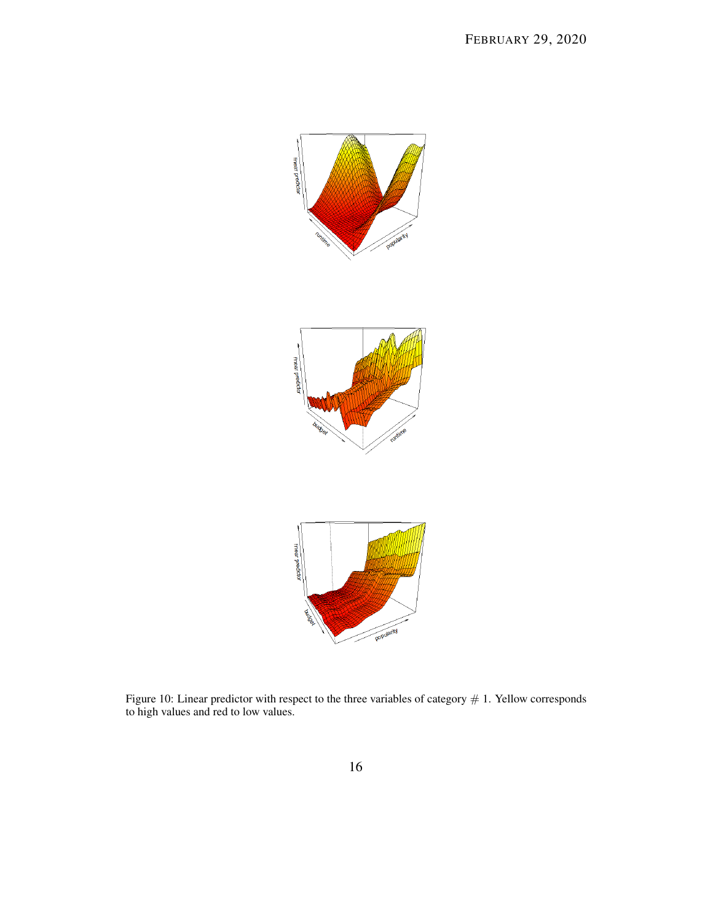<span id="page-15-0"></span>

Figure 10: Linear predictor with respect to the three variables of category  $# 1$ . Yellow corresponds to high values and red to low values.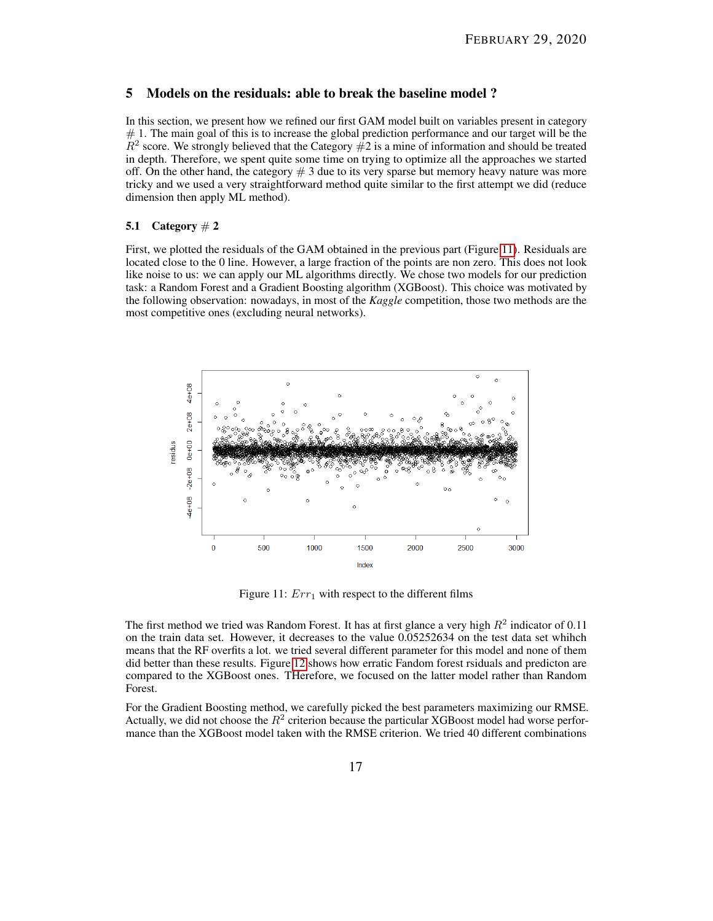## <span id="page-16-0"></span>5 Models on the residuals: able to break the baseline model ?

In this section, we present how we refined our first GAM model built on variables present in category  $# 1$ . The main goal of this is to increase the global prediction performance and our target will be the  $R^2$  score. We strongly believed that the Category  $\#2$  is a mine of information and should be treated in depth. Therefore, we spent quite some time on trying to optimize all the approaches we started off. On the other hand, the category  $# 3$  due to its very sparse but memory heavy nature was more tricky and we used a very straightforward method quite similar to the first attempt we did (reduce dimension then apply ML method).

## <span id="page-16-1"></span>5.1 Category  $\# 2$

First, we plotted the residuals of the GAM obtained in the previous part (Figure [11\)](#page-16-2). Residuals are located close to the 0 line. However, a large fraction of the points are non zero. This does not look like noise to us: we can apply our ML algorithms directly. We chose two models for our prediction task: a Random Forest and a Gradient Boosting algorithm (XGBoost). This choice was motivated by the following observation: nowadays, in most of the *Kaggle* competition, those two methods are the most competitive ones (excluding neural networks).

<span id="page-16-2"></span>

Figure 11:  $Err_1$  with respect to the different films

The first method we tried was Random Forest. It has at first glance a very high  $R^2$  indicator of 0.11 on the train data set. However, it decreases to the value 0.05252634 on the test data set whihch means that the RF overfits a lot. we tried several different parameter for this model and none of them did better than these results. Figure [12](#page-17-0) shows how erratic Fandom forest rsiduals and predicton are compared to the XGBoost ones. THerefore, we focused on the latter model rather than Random Forest.

For the Gradient Boosting method, we carefully picked the best parameters maximizing our RMSE. Actually, we did not choose the  $R^2$  criterion because the particular XGBoost model had worse performance than the XGBoost model taken with the RMSE criterion. We tried 40 different combinations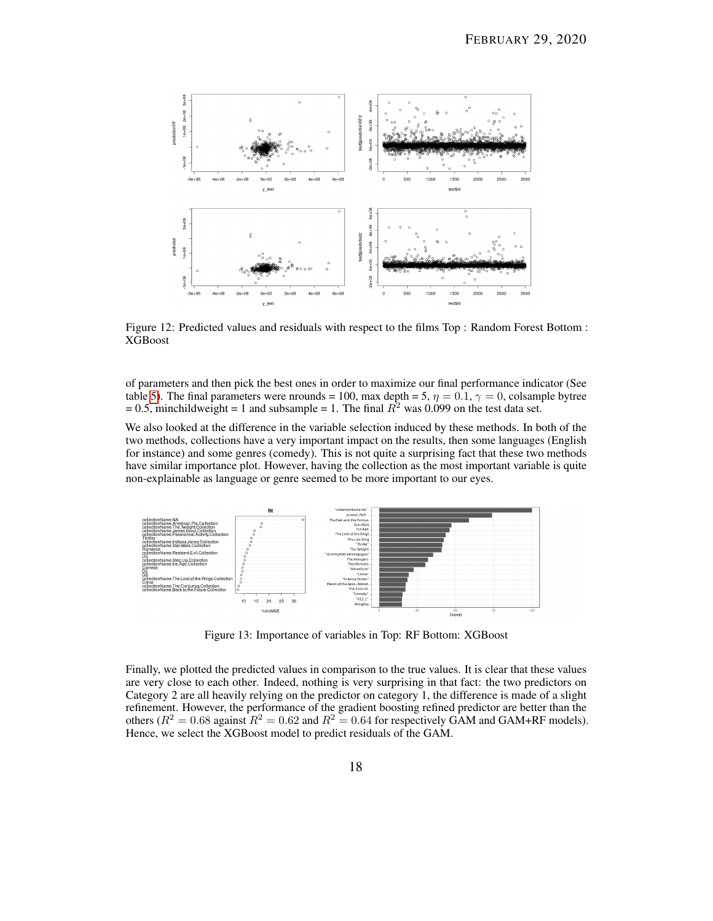<span id="page-17-0"></span>

Figure 12: Predicted values and residuals with respect to the films Top : Random Forest Bottom : XGBoost

of parameters and then pick the best ones in order to maximize our final performance indicator (See table [5\)](#page-18-0). The final parameters were nrounds = 100, max depth = 5,  $\eta = 0.1$ ,  $\gamma = 0$ , colsample bytree = 0.5, minchildweight = 1 and subsample = 1. The final  $R^2$  was 0.099 on the test data set.

We also looked at the difference in the variable selection induced by these methods. In both of the two methods, collections have a very important impact on the results, then some languages (English for instance) and some genres (comedy). This is not quite a surprising fact that these two methods have similar importance plot. However, having the collection as the most important variable is quite non-explainable as language or genre seemed to be more important to our eyes.



Figure 13: Importance of variables in Top: RF Bottom: XGBoost

Finally, we plotted the predicted values in comparison to the true values. It is clear that these values are very close to each other. Indeed, nothing is very surprising in that fact: the two predictors on Category 2 are all heavily relying on the predictor on category 1, the difference is made of a slight refinement. However, the performance of the gradient boosting refined predictor are better than the others ( $R^2 = 0.68$  against  $R^2 = 0.62$  and  $R^2 = 0.64$  for respectively GAM and GAM+RF models). Hence, we select the XGBoost model to predict residuals of the GAM.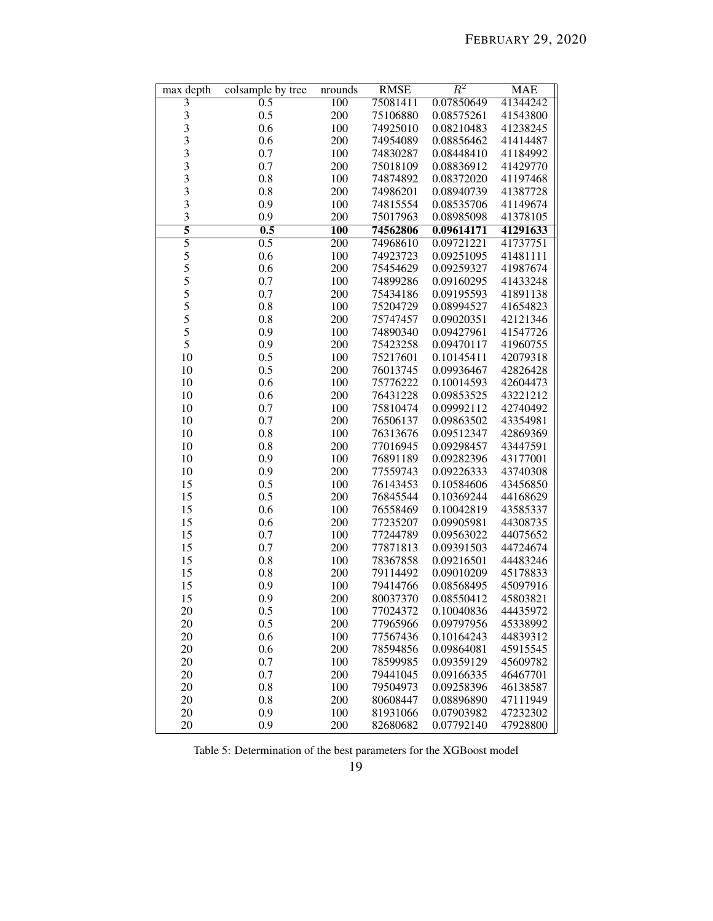<span id="page-18-0"></span>

| max depth                                  | colsample by tree | nrounds          | <b>RMSE</b> | $\,R^2$    | <b>MAE</b> |
|--------------------------------------------|-------------------|------------------|-------------|------------|------------|
| $\overline{3}$                             | $\overline{0.5}$  | 100              | 75081411    | 0.07850649 | 41344242   |
| 3                                          | 0.5               | 200              | 75106880    | 0.08575261 | 41543800   |
|                                            | 0.6               | 100              | 74925010    | 0.08210483 | 41238245   |
| $\frac{3}{3}$                              | 0.6               | 200              | 74954089    | 0.08856462 | 41414487   |
| 3                                          | 0.7               | 100              | 74830287    | 0.08448410 | 41184992   |
| 3                                          | 0.7               | 200              | 75018109    | 0.08836912 | 41429770   |
|                                            | 0.8               | 100              | 74874892    | 0.08372020 | 41197468   |
|                                            | 0.8               | 200              | 74986201    | 0.08940739 | 41387728   |
| $\begin{array}{c} 3 \\ 3 \\ 3 \end{array}$ | 0.9               | 100              | 74815554    | 0.08535706 | 41149674   |
| 3                                          | 0.9               | 200              | 75017963    | 0.08985098 | 41378105   |
| 5                                          | 0.5               | $\overline{100}$ | 74562806    | 0.09614171 | 41291633   |
| $\overline{5}$                             | 0.5               | $\overline{200}$ | 74968610    | 0.09721221 | 41737751   |
|                                            | 0.6               | 100              | 74923723    | 0.09251095 | 41481111   |
|                                            | 0.6               | 200              | 75454629    | 0.09259327 | 41987674   |
| 55555                                      | 0.7               | 100              | 74899286    | 0.09160295 | 41433248   |
|                                            | 0.7               | 200              | 75434186    | 0.09195593 | 41891138   |
|                                            | 0.8               | 100              | 75204729    | 0.08994527 | 41654823   |
| 5                                          | 0.8               | 200              | 75747457    | 0.09020351 | 42121346   |
| 5                                          | 0.9               | 100              | 74890340    | 0.09427961 | 41547726   |
| 5                                          | 0.9               | 200              | 75423258    | 0.09470117 | 41960755   |
| 10                                         | 0.5               | 100              | 75217601    | 0.10145411 | 42079318   |
| 10                                         | 0.5               | 200              | 76013745    | 0.09936467 | 42826428   |
| 10                                         | 0.6               | 100              | 75776222    | 0.10014593 | 42604473   |
| 10                                         | 0.6               | 200              | 76431228    | 0.09853525 | 43221212   |
| 10                                         | 0.7               | 100              | 75810474    | 0.09992112 | 42740492   |
| 10                                         | 0.7               | 200              | 76506137    | 0.09863502 | 43354981   |
| 10                                         | 0.8               | 100              | 76313676    | 0.09512347 | 42869369   |
| 10                                         | 0.8               | 200              |             |            |            |
|                                            |                   |                  | 77016945    | 0.09298457 | 43447591   |
| 10                                         | 0.9               | 100              | 76891189    | 0.09282396 | 43177001   |
| 10                                         | 0.9               | 200              | 77559743    | 0.09226333 | 43740308   |
| 15                                         | 0.5               | 100              | 76143453    | 0.10584606 | 43456850   |
| 15                                         | 0.5               | 200              | 76845544    | 0.10369244 | 44168629   |
| 15                                         | 0.6               | 100              | 76558469    | 0.10042819 | 43585337   |
| 15                                         | 0.6               | 200              | 77235207    | 0.09905981 | 44308735   |
| 15                                         | 0.7               | 100              | 77244789    | 0.09563022 | 44075652   |
| 15                                         | 0.7               | 200              | 77871813    | 0.09391503 | 44724674   |
| 15                                         | 0.8               | 100              | 78367858    | 0.09216501 | 44483246   |
| 15                                         | 0.8               | 200              | 79114492    | 0.09010209 | 45178833   |
| 15                                         | 0.9               | 100              | 79414766    | 0.08568495 | 45097916   |
| 15                                         | 0.9               | 200              | 80037370    | 0.08550412 | 45803821   |
| 20                                         | 0.5               | 100              | 77024372    | 0.10040836 | 44435972   |
| 20                                         | 0.5               | 200              | 77965966    | 0.09797956 | 45338992   |
| 20                                         | 0.6               | 100              | 77567436    | 0.10164243 | 44839312   |
| 20                                         | 0.6               | 200              | 78594856    | 0.09864081 | 45915545   |
| 20                                         | 0.7               | 100              | 78599985    | 0.09359129 | 45609782   |
| 20                                         | 0.7               | 200              | 79441045    | 0.09166335 | 46467701   |
| 20                                         | 0.8               | 100              | 79504973    | 0.09258396 | 46138587   |
| 20                                         | 0.8               | 200              | 80608447    | 0.08896890 | 47111949   |
| 20                                         | 0.9               | 100              | 81931066    | 0.07903982 | 47232302   |
| 20                                         | 0.9               | 200              | 82680682    | 0.07792140 | 47928800   |

Table 5: Determination of the best parameters for the XGBoost model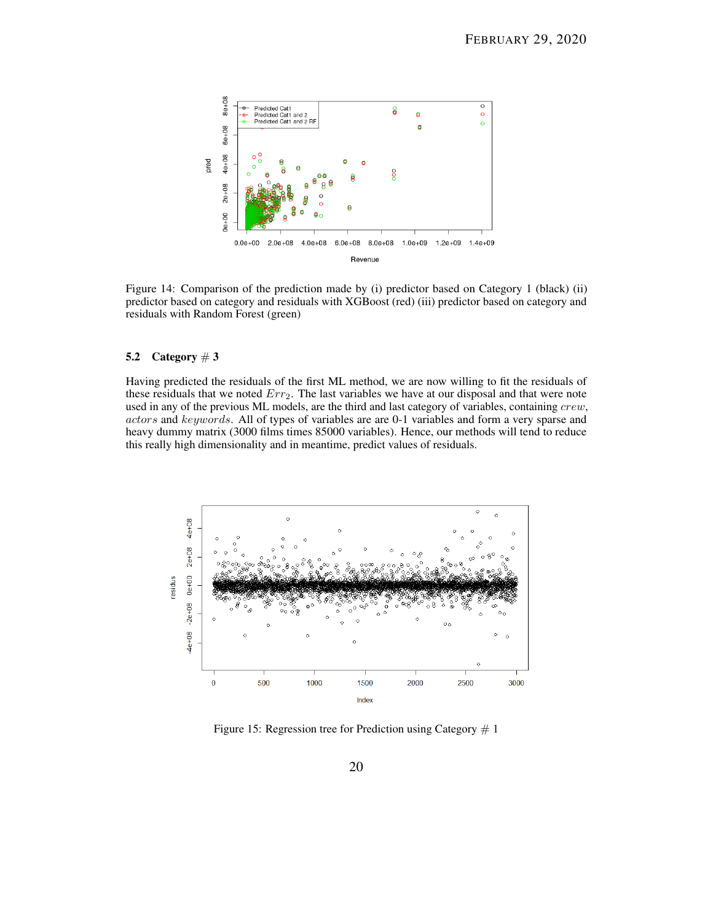

Figure 14: Comparison of the prediction made by (i) predictor based on Category 1 (black) (ii) predictor based on category and residuals with XGBoost (red) (iii) predictor based on category and residuals with Random Forest (green)

## <span id="page-19-0"></span>5.2 Category  $\#3$

Having predicted the residuals of the first ML method, we are now willing to fit the residuals of these residuals that we noted  $Err_2$ . The last variables we have at our disposal and that were note used in any of the previous ML models, are the third and last category of variables, containing crew, actors and keywords. All of types of variables are are 0-1 variables and form a very sparse and heavy dummy matrix (3000 films times 85000 variables). Hence, our methods will tend to reduce this really high dimensionality and in meantime, predict values of residuals.

<span id="page-19-1"></span>

Figure 15: Regression tree for Prediction using Category  $# 1$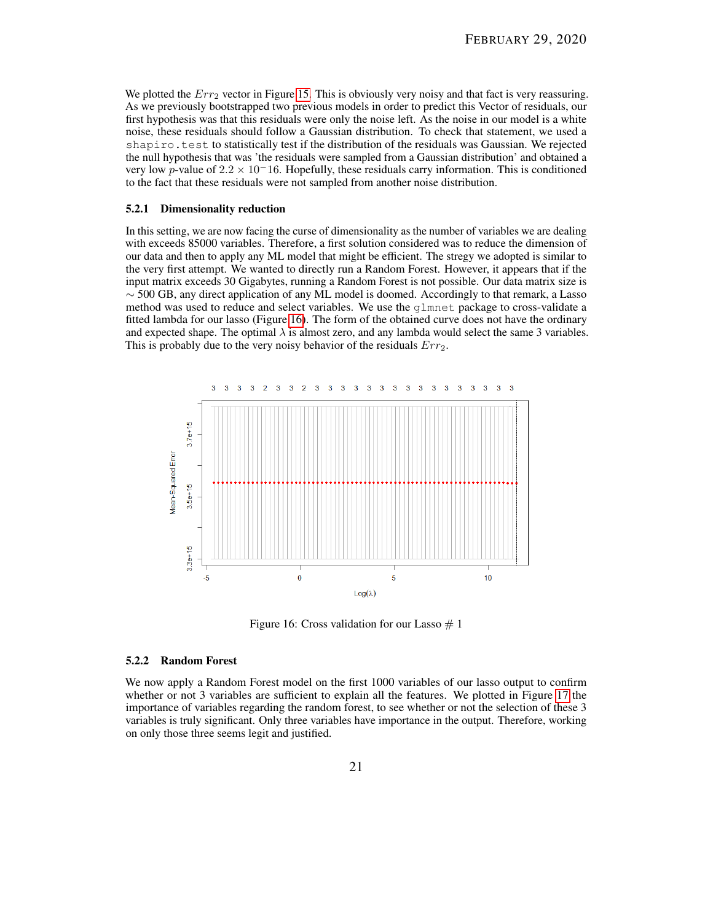We plotted the  $Err_2$  vector in Figure [15.](#page-19-1) This is obviously very noisy and that fact is very reassuring. As we previously bootstrapped two previous models in order to predict this Vector of residuals, our first hypothesis was that this residuals were only the noise left. As the noise in our model is a white noise, these residuals should follow a Gaussian distribution. To check that statement, we used a shapiro.test to statistically test if the distribution of the residuals was Gaussian. We rejected the null hypothesis that was 'the residuals were sampled from a Gaussian distribution' and obtained a very low p-value of  $2.2 \times 10^{-16}$ . Hopefully, these residuals carry information. This is conditioned to the fact that these residuals were not sampled from another noise distribution.

#### <span id="page-20-0"></span>5.2.1 Dimensionality reduction

In this setting, we are now facing the curse of dimensionality as the number of variables we are dealing with exceeds 85000 variables. Therefore, a first solution considered was to reduce the dimension of our data and then to apply any ML model that might be efficient. The stregy we adopted is similar to the very first attempt. We wanted to directly run a Random Forest. However, it appears that if the input matrix exceeds 30 Gigabytes, running a Random Forest is not possible. Our data matrix size is  $\sim$  500 GB, any direct application of any ML model is doomed. Accordingly to that remark, a Lasso method was used to reduce and select variables. We use the glmnet package to cross-validate a fitted lambda for our lasso (Figure [16\)](#page-20-2). The form of the obtained curve does not have the ordinary and expected shape. The optimal  $\lambda$  is almost zero, and any lambda would select the same 3 variables. This is probably due to the very noisy behavior of the residuals  $Err_2$ .

<span id="page-20-2"></span>

Figure 16: Cross validation for our Lasso  $# 1$ 

#### <span id="page-20-1"></span>5.2.2 Random Forest

We now apply a Random Forest model on the first 1000 variables of our lasso output to confirm whether or not 3 variables are sufficient to explain all the features. We plotted in Figure [17](#page-21-1) the importance of variables regarding the random forest, to see whether or not the selection of these 3 variables is truly significant. Only three variables have importance in the output. Therefore, working on only those three seems legit and justified.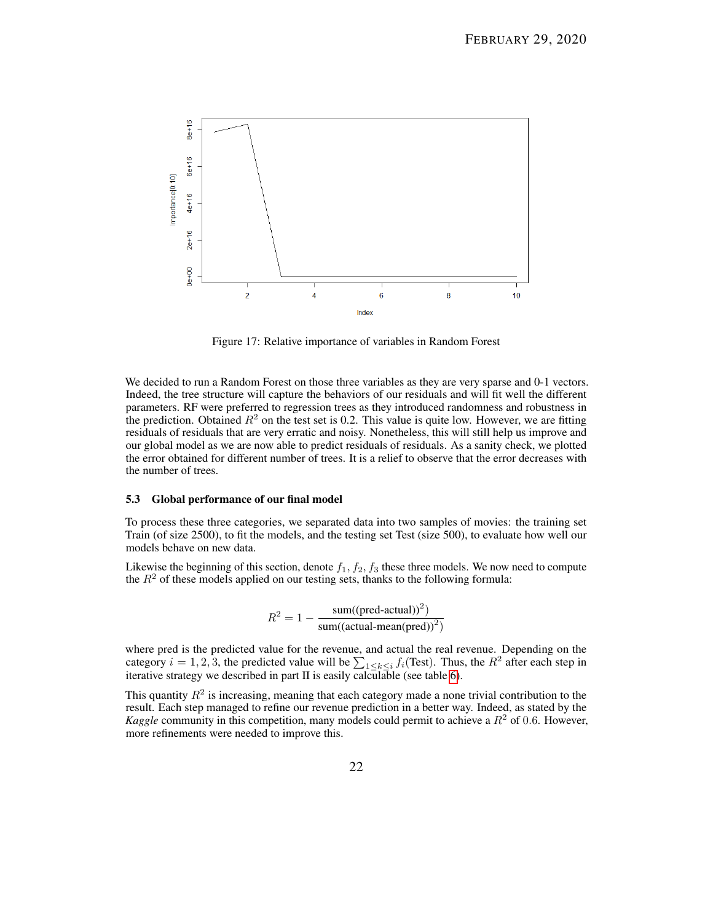<span id="page-21-1"></span>

Figure 17: Relative importance of variables in Random Forest

We decided to run a Random Forest on those three variables as they are very sparse and 0-1 vectors. Indeed, the tree structure will capture the behaviors of our residuals and will fit well the different parameters. RF were preferred to regression trees as they introduced randomness and robustness in the prediction. Obtained  $R^2$  on the test set is 0.2. This value is quite low. However, we are fitting residuals of residuals that are very erratic and noisy. Nonetheless, this will still help us improve and our global model as we are now able to predict residuals of residuals. As a sanity check, we plotted the error obtained for different number of trees. It is a relief to observe that the error decreases with the number of trees.

#### <span id="page-21-0"></span>5.3 Global performance of our final model

To process these three categories, we separated data into two samples of movies: the training set Train (of size 2500), to fit the models, and the testing set Test (size 500), to evaluate how well our models behave on new data.

Likewise the beginning of this section, denote  $f_1, f_2, f_3$  these three models. We now need to compute the  $R<sup>2</sup>$  of these models applied on our testing sets, thanks to the following formula:

$$
R^{2} = 1 - \frac{\text{sum}((\text{pred-actual}))^{2})}{\text{sum}((\text{actual-mean}(\text{pred}))^{2})}
$$

where pred is the predicted value for the revenue, and actual the real revenue. Depending on the category  $i = 1, 2, 3$ , the predicted value will be  $\sum_{1 \leq k \leq i} f_i(\text{Test})$ . Thus, the  $R^2$  after each step in iterative strategy we described in part II is easily calculable (see table [6\)](#page-22-1).

This quantity  $R^2$  is increasing, meaning that each category made a none trivial contribution to the result. Each step managed to refine our revenue prediction in a better way. Indeed, as stated by the *Kaggle* community in this competition, many models could permit to achieve a  $R^2$  of 0.6. However, more refinements were needed to improve this.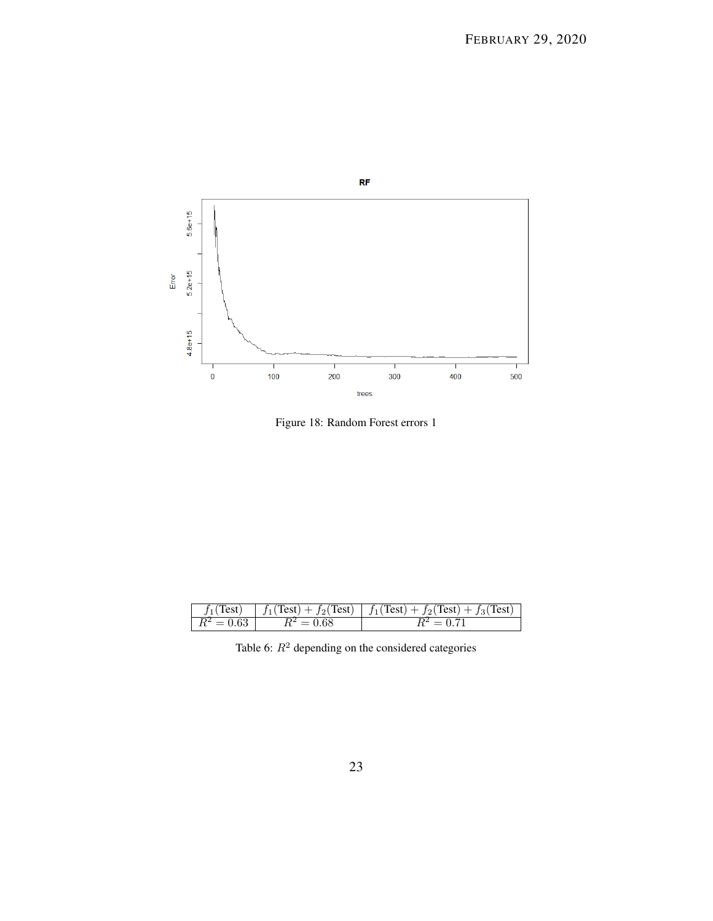<span id="page-22-0"></span>

Figure 18: Random Forest errors 1

<span id="page-22-1"></span>

|              |              | $f_1(Test)$   $f_1(Test) + f_2(Test)$   $f_1(Test) + f_2(Test) + f_3(Test)$ |
|--------------|--------------|-----------------------------------------------------------------------------|
| $R^2 = 0.63$ | $R^2 = 0.68$ | $R^2 = 0.71$                                                                |

Table 6:  $R^2$  depending on the considered categories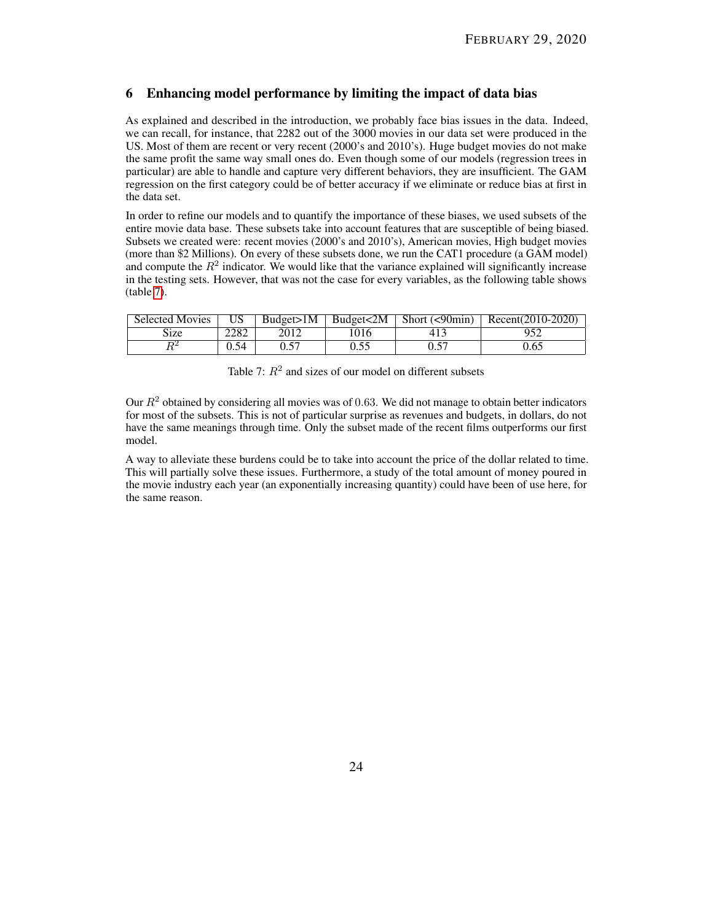## <span id="page-23-0"></span>6 Enhancing model performance by limiting the impact of data bias

As explained and described in the introduction, we probably face bias issues in the data. Indeed, we can recall, for instance, that 2282 out of the 3000 movies in our data set were produced in the US. Most of them are recent or very recent (2000's and 2010's). Huge budget movies do not make the same profit the same way small ones do. Even though some of our models (regression trees in particular) are able to handle and capture very different behaviors, they are insufficient. The GAM regression on the first category could be of better accuracy if we eliminate or reduce bias at first in the data set.

In order to refine our models and to quantify the importance of these biases, we used subsets of the entire movie data base. These subsets take into account features that are susceptible of being biased. Subsets we created were: recent movies (2000's and 2010's), American movies, High budget movies (more than \$2 Millions). On every of these subsets done, we run the CAT1 procedure (a GAM model) and compute the  $R^2$  indicator. We would like that the variance explained will significantly increase in the testing sets. However, that was not the case for every variables, as the following table shows (table [7\)](#page-23-1).

<span id="page-23-1"></span>

| <b>Selected Movies</b> | US   | Budeet > 1M |      | Budget <2M Short (<90min) Recent (2010-2020) |
|------------------------|------|-------------|------|----------------------------------------------|
| Size                   | 2282 | 2012        | 1016 | 952                                          |
|                        | 0.54 |             | 0.55 | 0.65                                         |

| Table 7: $R^2$ and sizes of our model on different subsets |  |
|------------------------------------------------------------|--|
|------------------------------------------------------------|--|

Our  $R<sup>2</sup>$  obtained by considering all movies was of 0.63. We did not manage to obtain better indicators for most of the subsets. This is not of particular surprise as revenues and budgets, in dollars, do not have the same meanings through time. Only the subset made of the recent films outperforms our first model.

A way to alleviate these burdens could be to take into account the price of the dollar related to time. This will partially solve these issues. Furthermore, a study of the total amount of money poured in the movie industry each year (an exponentially increasing quantity) could have been of use here, for the same reason.